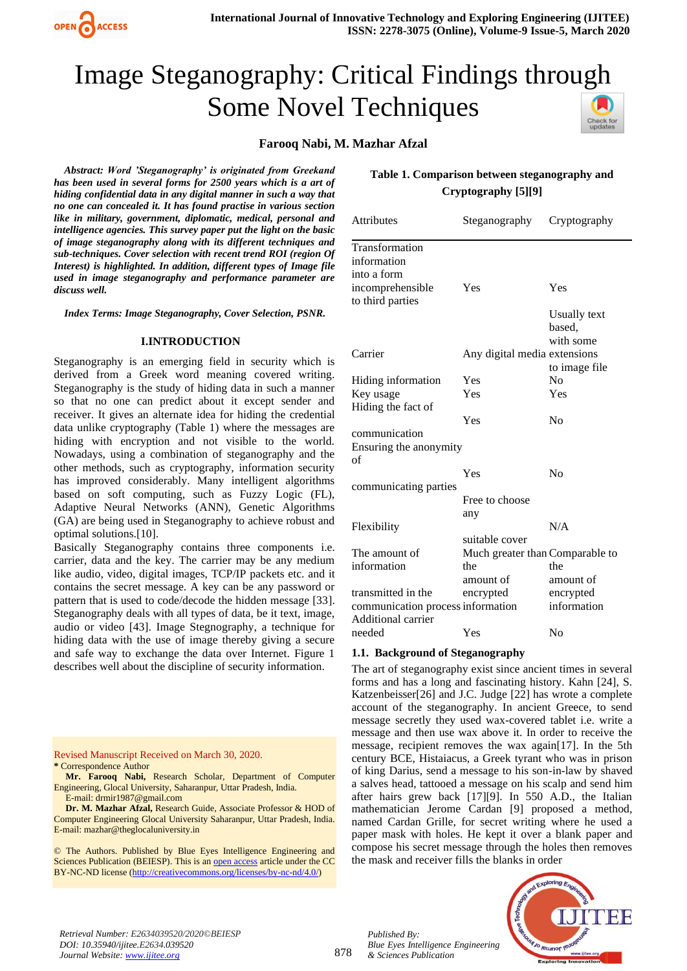

# Image Steganography: Critical Findings through Some Novel Techniques heck for<br>updates

# **Farooq Nabi, M. Mazhar Afzal**

*Abstract: Word 'Steganography' is originated from Greekand has been used in several forms for 2500 years which is a art of hiding confidential data in any digital manner in such a way that no one can concealed it. It has found practise in various section like in military, government, diplomatic, medical, personal and intelligence agencies. This survey paper put the light on the basic of image steganography along with its different techniques and sub-techniques. Cover selection with recent trend ROI (region Of Interest) is highlighted. In addition, different types of Image file used in image steganography and performance parameter are discuss well.*

*Index Terms: Image Steganography, Cover Selection, PSNR.*

#### **I.INTRODUCTION**

Steganography is an emerging field in security which is derived from a Greek word meaning covered writing. Steganography is the study of hiding data in such a manner so that no one can predict about it except sender and receiver. It gives an alternate idea for hiding the credential data unlike cryptography (Table 1) where the messages are hiding with encryption and not visible to the world. Nowadays, using a combination of steganography and the other methods, such as cryptography, information security has improved considerably. Many intelligent algorithms based on soft computing, such as Fuzzy Logic (FL), Adaptive Neural Networks (ANN), Genetic Algorithms (GA) are being used in Steganography to achieve robust and optimal solutions.[10].

Basically Steganography contains three components i.e. carrier, data and the key. The carrier may be any medium like audio, video, digital images, TCP/IP packets etc. and it contains the secret message. A key can be any password or pattern that is used to code/decode the hidden message [33]. Steganography deals with all types of data, be it text, image, audio or video [43]. Image Stegnography, a technique for hiding data with the use of image thereby giving a secure and safe way to exchange the data over Internet. Figure 1 describes well about the discipline of security information.

Revised Manuscript Received on March 30, 2020. **\*** Correspondence Author

**Dr. M. Mazhar Afzal,** Research Guide, Associate Professor & HOD of Computer Engineering Glocal University Saharanpur, Uttar Pradesh, India. E-mail: mazhar@theglocaluniversity.in

© The Authors. Published by Blue Eyes Intelligence Engineering and Sciences Publication (BEIESP). This is a[n open access](https://www.openaccess.nl/en/open-publications) article under the CC BY-NC-ND license [\(http://creativecommons.org/licenses/by-nc-nd/4.0/\)](http://creativecommons.org/licenses/by-nc-nd/4.0/)



| <b>Attributes</b>                    | Steganography                   | Cryptography  |
|--------------------------------------|---------------------------------|---------------|
| Transformation                       |                                 |               |
| information                          |                                 |               |
| into a form                          |                                 |               |
| incomprehensible<br>to third parties | Yes                             | Yes           |
|                                      |                                 | Usually text  |
|                                      |                                 | based,        |
|                                      |                                 | with some     |
| Carrier                              | Any digital media extensions    |               |
|                                      |                                 | to image file |
| Hiding information                   | Yes                             | No            |
| Key usage                            | Yes                             | Yes           |
| Hiding the fact of                   |                                 |               |
|                                      | Yes                             | No            |
| communication                        |                                 |               |
| Ensuring the anonymity               |                                 |               |
| of                                   |                                 |               |
|                                      | Yes                             | No            |
| communicating parties                |                                 |               |
|                                      | Free to choose                  |               |
|                                      | any                             |               |
| Flexibility                          |                                 | N/A           |
|                                      | suitable cover                  |               |
| The amount of                        | Much greater than Comparable to |               |
| information                          | the                             | the           |
|                                      | amount of                       | amount of     |
| transmitted in the                   | encrypted                       | encrypted     |
| communication process information    |                                 | information   |
| Additional carrier                   |                                 |               |
| needed                               | Yes                             | No            |

#### **1.1. Background of Steganography**

The art of steganography exist since ancient times in several forms and has a long and fascinating history. Kahn [24], S. Katzenbeisser[26] and J.C. Judge [22] has wrote a complete account of the steganography. In ancient Greece, to send message secretly they used wax-covered tablet i.e. write a message and then use wax above it. In order to receive the message, recipient removes the wax again[17]. In the 5th century BCE, Histaiacus, a Greek tyrant who was in prison of king Darius, send a message to his son-in-law by shaved a salves head, tattooed a message on his scalp and send him after hairs grew back [17][9]. In 550 A.D., the Italian mathematician Jerome Cardan [9] proposed a method, named Cardan Grille, for secret writing where he used a paper mask with holes. He kept it over a blank paper and compose his secret message through the holes then removes the mask and receiver fills the blanks in order



*Retrieval Number: E2634039520/2020©BEIESP DOI: 10.35940/ijitee.E2634.039520 Journal Website[: www.ijitee.org](http://www.ijitee.org/)*

*Published By:*

*& Sciences Publication* 

*Blue Eyes Intelligence Engineering* 

**Mr. Farooq Nabi,** Research Scholar, Department of Computer Engineering, Glocal University, Saharanpur, Uttar Pradesh, India. E-mail: drmir1987@gmail.com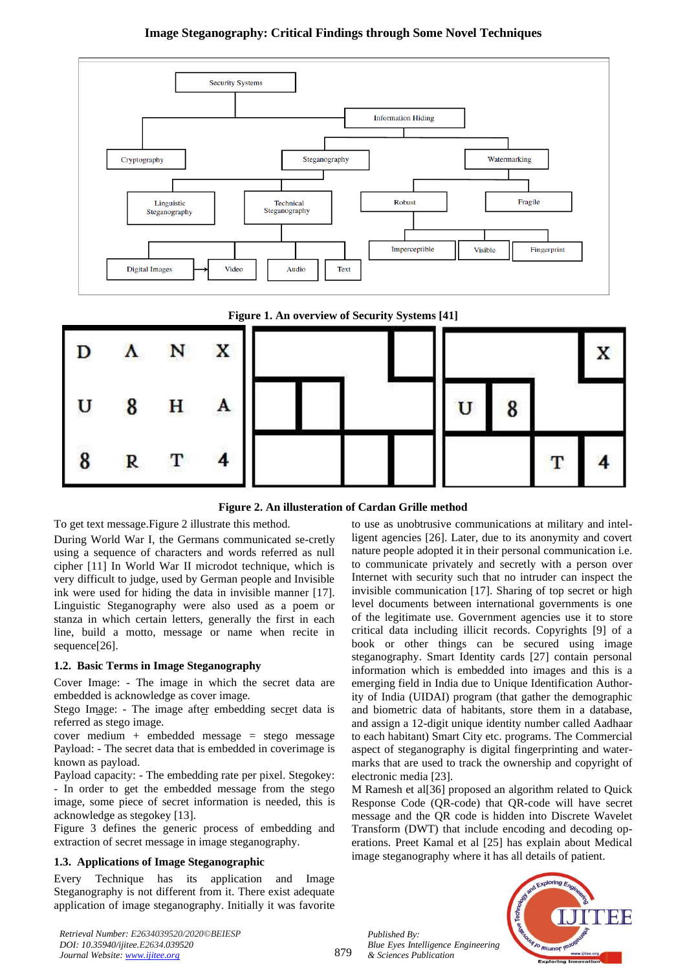# **Image Steganography: Critical Findings through Some Novel Techniques**



**Figure 1. An overview of Security Systems [41]**



**Figure 2. An illusteration of Cardan Grille method**

To get text message.Figure 2 illustrate this method.

During World War I, the Germans communicated se-cretly using a sequence of characters and words referred as null cipher [11] In World War II microdot technique, which is very difficult to judge, used by German people and Invisible ink were used for hiding the data in invisible manner [17]. Linguistic Steganography were also used as a poem or stanza in which certain letters, generally the first in each line, build a motto, message or name when recite in sequence[26].

# **1.2. Basic Terms in Image Steganography**

Cover Image: - The image in which the secret data are embedded is acknowledge as cover image.

Stego Image: - The image after embedding secret data is referred as stego image.

cover medium + embedded message = stego message Payload: - The secret data that is embedded in coverimage is known as payload.

Payload capacity: - The embedding rate per pixel. Stegokey: - In order to get the embedded message from the stego image, some piece of secret information is needed, this is acknowledge as stegokey [13].

Figure 3 defines the generic process of embedding and extraction of secret message in image steganography.

# **1.3. Applications of Image Steganographic**

Every Technique has its application and Image Steganography is not different from it. There exist adequate application of image steganography. Initially it was favorite to use as unobtrusive communications at military and intelligent agencies [26]. Later, due to its anonymity and covert nature people adopted it in their personal communication i.e. to communicate privately and secretly with a person over Internet with security such that no intruder can inspect the invisible communication [17]. Sharing of top secret or high level documents between international governments is one of the legitimate use. Government agencies use it to store critical data including illicit records. Copyrights [9] of a book or other things can be secured using image steganography. Smart Identity cards [27] contain personal information which is embedded into images and this is a emerging field in India due to Unique Identification Authority of India (UIDAI) program (that gather the demographic and biometric data of habitants, store them in a database, and assign a 12-digit unique identity number called Aadhaar to each habitant) Smart City etc. programs. The Commercial aspect of steganography is digital fingerprinting and watermarks that are used to track the ownership and copyright of electronic media [23].

M Ramesh et al[36] proposed an algorithm related to Quick Response Code (QR-code) that QR-code will have secret message and the QR code is hidden into Discrete Wavelet Transform (DWT) that include encoding and decoding operations. Preet Kamal et al [25] has explain about Medical image steganography where it has all details of patient.

*Published By: Blue Eyes Intelligence Engineering & Sciences Publication* 



*Retrieval Number: E2634039520/2020©BEIESP DOI: 10.35940/ijitee.E2634.039520 Journal Website[: www.ijitee.org](http://www.ijitee.org/)*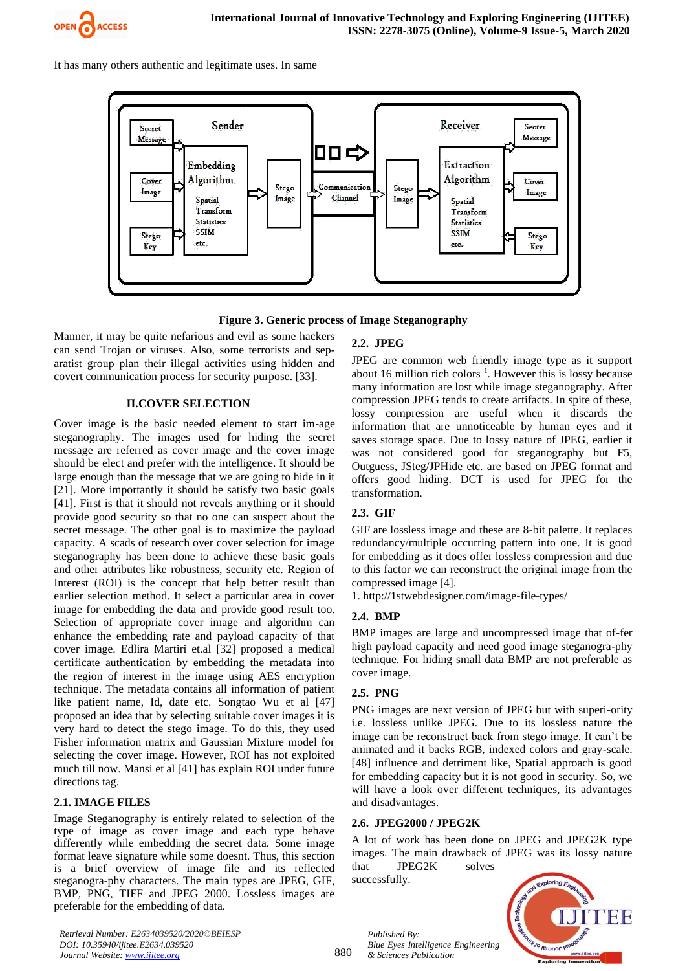

It has many others authentic and legitimate uses. In same



**Figure 3. Generic process of Image Steganography**

Manner, it may be quite nefarious and evil as some hackers can send Trojan or viruses. Also, some terrorists and separatist group plan their illegal activities using hidden and covert communication process for security purpose. [33].

# **II.COVER SELECTION**

Cover image is the basic needed element to start im-age steganography. The images used for hiding the secret message are referred as cover image and the cover image should be elect and prefer with the intelligence. It should be large enough than the message that we are going to hide in it [21]. More importantly it should be satisfy two basic goals [41]. First is that it should not reveals anything or it should provide good security so that no one can suspect about the secret message. The other goal is to maximize the payload capacity. A scads of research over cover selection for image steganography has been done to achieve these basic goals and other attributes like robustness, security etc. Region of Interest (ROI) is the concept that help better result than earlier selection method. It select a particular area in cover image for embedding the data and provide good result too. Selection of appropriate cover image and algorithm can enhance the embedding rate and payload capacity of that cover image. Edlira Martiri et.al [32] proposed a medical certificate authentication by embedding the metadata into the region of interest in the image using AES encryption technique. The metadata contains all information of patient like patient name, Id, date etc. Songtao Wu et al [47] proposed an idea that by selecting suitable cover images it is very hard to detect the stego image. To do this, they used Fisher information matrix and Gaussian Mixture model for selecting the cover image. However, ROI has not exploited much till now. Mansi et al [41] has explain ROI under future directions tag.

# **2.1. IMAGE FILES**

Image Steganography is entirely related to selection of the type of image as cover image and each type behave differently while embedding the secret data. Some image format leave signature while some doesnt. Thus, this section is a brief overview of image file and its reflected steganogra-phy characters. The main types are JPEG, GIF, BMP, PNG, TIFF and JPEG 2000. Lossless images are preferable for the embedding of data.

# **2.2. JPEG**

JPEG are common web friendly image type as it support about 16 million rich colors  $<sup>1</sup>$ . However this is lossy because</sup> many information are lost while image steganography. After compression JPEG tends to create artifacts. In spite of these, lossy compression are useful when it discards the information that are unnoticeable by human eyes and it saves storage space. Due to lossy nature of JPEG, earlier it was not considered good for steganography but F5, Outguess, JSteg/JPHide etc. are based on JPEG format and offers good hiding. DCT is used for JPEG for the transformation.

# **2.3. GIF**

GIF are lossless image and these are 8-bit palette. It replaces redundancy/multiple occurring pattern into one. It is good for embedding as it does offer lossless compression and due to this factor we can reconstruct the original image from the compressed image [4].

1. http://1stwebdesigner.com/image-file-types/

### **2.4. BMP**

BMP images are large and uncompressed image that of-fer high payload capacity and need good image steganogra-phy technique. For hiding small data BMP are not preferable as cover image.

### **2.5. PNG**

PNG images are next version of JPEG but with superi-ority i.e. lossless unlike JPEG. Due to its lossless nature the image can be reconstruct back from stego image. It can't be animated and it backs RGB, indexed colors and gray-scale. [48] influence and detriment like, Spatial approach is good for embedding capacity but it is not good in security. So, we will have a look over different techniques, its advantages and disadvantages.

### **2.6. JPEG2000 / JPEG2K**

A lot of work has been done on JPEG and JPEG2K type images. The main drawback of JPEG was its lossy nature that JPEG2K solves

successfully.



*Retrieval Number: E2634039520/2020©BEIESP DOI: 10.35940/ijitee.E2634.039520 Journal Website[: www.ijitee.org](http://www.ijitee.org/)*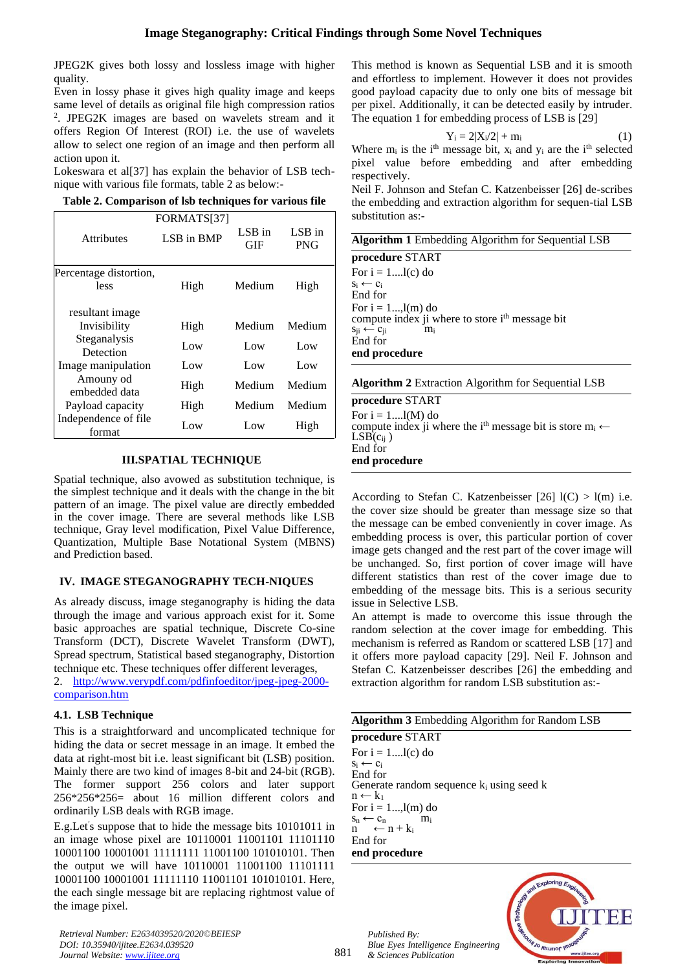JPEG2K gives both lossy and lossless image with higher quality.

Even in lossy phase it gives high quality image and keeps same level of details as original file high compression ratios 2 . JPEG2K images are based on wavelets stream and it offers Region Of Interest (ROI) i.e. the use of wavelets allow to select one region of an image and then perform all action upon it.

Lokeswara et al[37] has explain the behavior of LSB technique with various file formats, table 2 as below:-

|  |  | Table 2. Comparison of lsb techniques for various file |  |  |  |  |  |
|--|--|--------------------------------------------------------|--|--|--|--|--|
|--|--|--------------------------------------------------------|--|--|--|--|--|

|                                                 | FORMATS[37] |               |                        |
|-------------------------------------------------|-------------|---------------|------------------------|
| <b>Attributes</b>                               | LSB in BMP  | LSB in<br>GIF | $LSB$ in<br><b>PNG</b> |
| Percentage distortion,<br>less                  | High        | Medium        | High                   |
| resultant image<br>Invisibility<br>Steganalysis | High        | Medium        | Medium                 |
| Detection                                       | Low         | Low           | Low                    |
| Image manipulation                              | Low         | Low           | Low                    |
| Amouny od<br>embedded data                      | High        | Medium        | Medium                 |
| Payload capacity                                | High        | Medium        | Medium                 |
| Independence of file<br>format                  | Low         | Low           | High                   |

# **III.SPATIAL TECHNIQUE**

Spatial technique, also avowed as substitution technique, is the simplest technique and it deals with the change in the bit pattern of an image. The pixel value are directly embedded in the cover image. There are several methods like LSB technique, Gray level modification, Pixel Value Difference, Quantization, Multiple Base Notational System (MBNS) and Prediction based.

# **IV. IMAGE STEGANOGRAPHY TECH-NIQUES**

As already discuss, image steganography is hiding the data through the image and various approach exist for it. Some basic approaches are spatial technique, Discrete Co-sine Transform (DCT), Discrete Wavelet Transform (DWT), Spread spectrum, Statistical based steganography, Distortion technique etc. These techniques offer different leverages,

2. [http://www.verypdf.com/pdfinfoeditor/jpeg-jpeg-2000](http://www.verypdf.com/pdfinfoeditor/jpeg-jpeg-2000-comparison.htm) [comparison.htm](http://www.verypdf.com/pdfinfoeditor/jpeg-jpeg-2000-comparison.htm)

# **4.1. LSB Technique**

This is a straightforward and uncomplicated technique for hiding the data or secret message in an image. It embed the data at right-most bit i.e. least significant bit (LSB) position. Mainly there are two kind of images 8-bit and 24-bit (RGB). The former support 256 colors and later support 256\*256\*256= about 16 million different colors and ordinarily LSB deals with RGB image.

E.g.Let′ s suppose that to hide the message bits 10101011 in an image whose pixel are 10110001 11001101 11101110 10001100 10001001 11111111 11001100 101010101. Then the output we will have 10110001 11001100 11101111 10001100 10001001 11111110 11001101 101010101. Here, the each single message bit are replacing rightmost value of the image pixel.

*Retrieval Number: E2634039520/2020©BEIESP DOI: 10.35940/ijitee.E2634.039520 Journal Website[: www.ijitee.org](http://www.ijitee.org/)*

This method is known as Sequential LSB and it is smooth and effortless to implement. However it does not provides good payload capacity due to only one bits of message bit per pixel. Additionally, it can be detected easily by intruder. The equation 1 for embedding process of LSB is [29]

$$
Y_i = 2|X_i/2| + m_i \tag{1}
$$

Where  $m_i$  is the i<sup>th</sup> message bit,  $x_i$  and  $y_i$  are the i<sup>th</sup> selected pixel value before embedding and after embedding respectively.

Neil F. Johnson and Stefan C. Katzenbeisser [26] de-scribes the embedding and extraction algorithm for sequen-tial LSB substitution as:-

| <b>Algorithm 1</b> Embedding Algorithm for Sequential LSB |  |
|-----------------------------------------------------------|--|
| procedure START                                           |  |
| _                                                         |  |

For  $i = 1$ .... $l(c)$  do  $s_i \leftarrow c_i$ End for For  $i = 1 \dots, l(m)$  do compute index ji where to store i<sup>th</sup> message bit  $s_{ii} \leftarrow c_{ii}$  m<sub>i</sub> End for **end procedure**

# **Algorithm 2** Extraction Algorithm for Sequential LSB

**procedure** START For  $i = 1$ .... $l(M)$  do compute index ji where the i<sup>th</sup> message bit is store  $m_i \leftarrow$  $LSB(c_{ii})$ End for **end procedure**

According to Stefan C. Katzenbeisser  $[26]$  l(C) > l(m) i.e. the cover size should be greater than message size so that the message can be embed conveniently in cover image. As embedding process is over, this particular portion of cover image gets changed and the rest part of the cover image will be unchanged. So, first portion of cover image will have different statistics than rest of the cover image due to embedding of the message bits. This is a serious security issue in Selective LSB.

An attempt is made to overcome this issue through the random selection at the cover image for embedding. This mechanism is referred as Random or scattered LSB [17] and it offers more payload capacity [29]. Neil F. Johnson and Stefan C. Katzenbeisser describes [26] the embedding and extraction algorithm for random LSB substitution as:-

|                         | <b>Algorithm 3</b> Embedding Algorithm for Random LSB |
|-------------------------|-------------------------------------------------------|
| procedure START         |                                                       |
| For $i = 1$ $l(c)$ do   |                                                       |
| $S_i \leftarrow C_i$    |                                                       |
| End for                 |                                                       |
|                         | Generate random sequence $k_i$ using seed k           |
| $n \leftarrow k_1$      |                                                       |
| For $i = 1$ , $l(m)$ do |                                                       |
| $S_n \leftarrow C_n$    | mi                                                    |
| $n \leftarrow n+k_i$    |                                                       |
| End for                 |                                                       |
| end procedure           |                                                       |

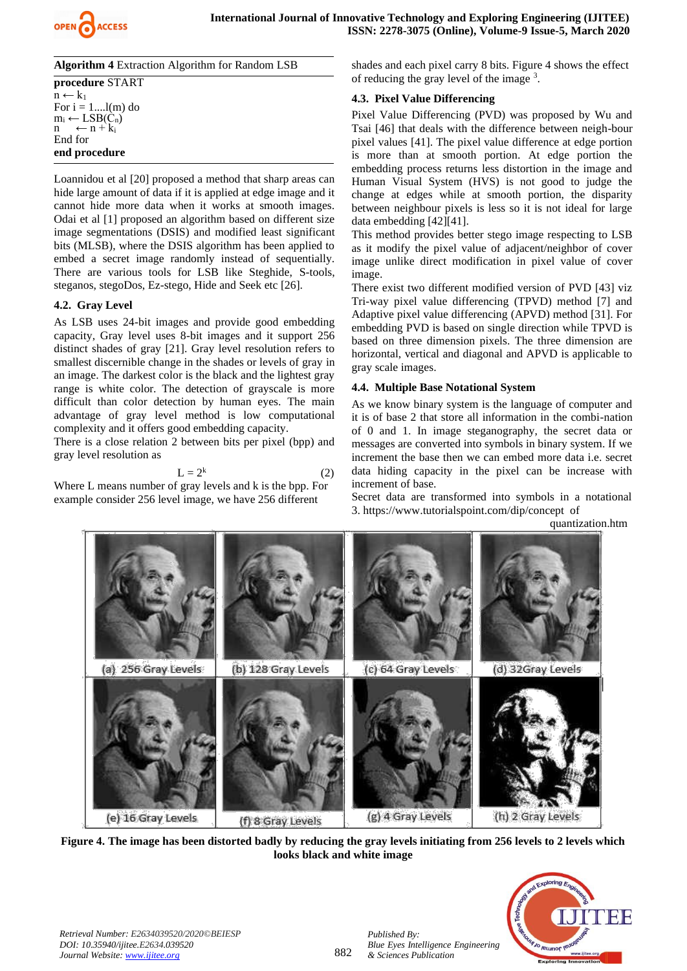

**Algorithm 4** Extraction Algorithm for Random LSB **procedure** START  $n \leftarrow k_1$ For  $i = 1$ .... $l(m)$  do

 $m_i \leftarrow LSB(C_n)$  $\leftarrow$  n + k<sub>i</sub> End for **end procedure**

Loannidou et al [20] proposed a method that sharp areas can hide large amount of data if it is applied at edge image and it cannot hide more data when it works at smooth images. Odai et al [1] proposed an algorithm based on different size image segmentations (DSIS) and modified least significant bits (MLSB), where the DSIS algorithm has been applied to embed a secret image randomly instead of sequentially. There are various tools for LSB like Steghide, S-tools, steganos, stegoDos, Ez-stego, Hide and Seek etc [26].

# **4.2. Gray Level**

As LSB uses 24-bit images and provide good embedding capacity, Gray level uses 8-bit images and it support 256 distinct shades of gray [21]. Gray level resolution refers to smallest discernible change in the shades or levels of gray in an image. The darkest color is the black and the lightest gray range is white color. The detection of grayscale is more difficult than color detection by human eyes. The main advantage of gray level method is low computational complexity and it offers good embedding capacity.

There is a close relation 2 between bits per pixel (bpp) and gray level resolution as

$$
L = 2^k \tag{2}
$$

Where L means number of gray levels and k is the bpp. For example consider 256 level image, we have 256 different

shades and each pixel carry 8 bits. Figure 4 shows the effect of reducing the gray level of the image <sup>3</sup>.

# **4.3. Pixel Value Differencing**

Pixel Value Differencing (PVD) was proposed by Wu and Tsai [46] that deals with the difference between neigh-bour pixel values [41]. The pixel value difference at edge portion is more than at smooth portion. At edge portion the embedding process returns less distortion in the image and Human Visual System (HVS) is not good to judge the change at edges while at smooth portion, the disparity between neighbour pixels is less so it is not ideal for large data embedding [42][41].

This method provides better stego image respecting to LSB as it modify the pixel value of adjacent/neighbor of cover image unlike direct modification in pixel value of cover image.

There exist two different modified version of PVD [43] viz Tri-way pixel value differencing (TPVD) method [7] and Adaptive pixel value differencing (APVD) method [31]. For embedding PVD is based on single direction while TPVD is based on three dimension pixels. The three dimension are horizontal, vertical and diagonal and APVD is applicable to gray scale images.

# **4.4. Multiple Base Notational System**

As we know binary system is the language of computer and it is of base 2 that store all information in the combi-nation of 0 and 1. In image steganography, the secret data or messages are converted into symbols in binary system. If we increment the base then we can embed more data i.e. secret data hiding capacity in the pixel can be increase with increment of base.

Secret data are transformed into symbols in a notational 3. https://www.tutorialspoint.com/dip/concept of

quantization.htm



**Figure 4. The image has been distorted badly by reducing the gray levels initiating from 256 levels to 2 levels which looks black and white image**

882

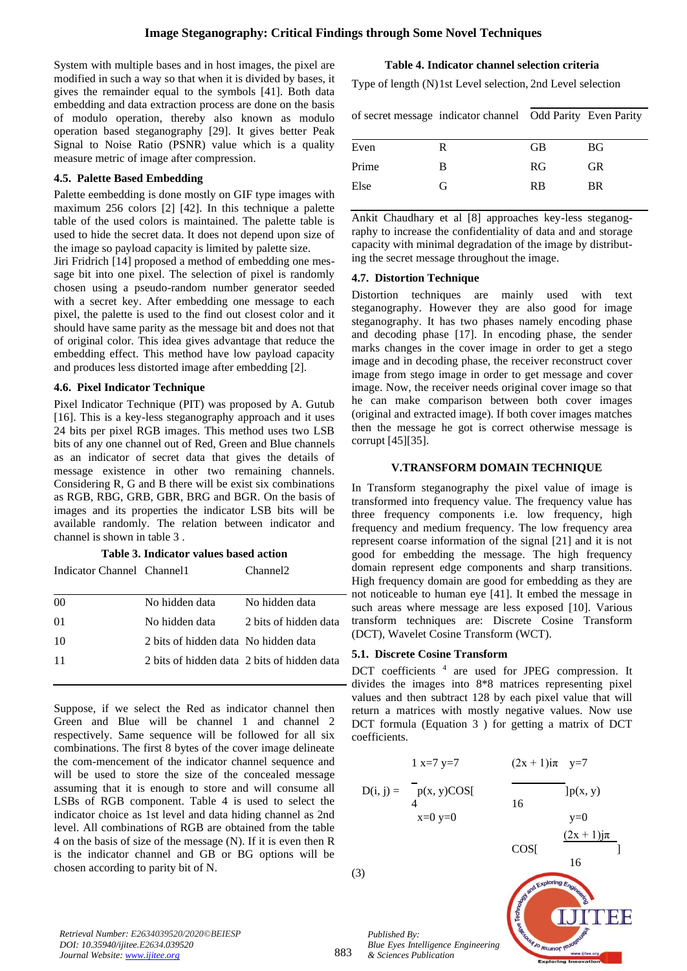System with multiple bases and in host images, the pixel are modified in such a way so that when it is divided by bases, it gives the remainder equal to the symbols [41]. Both data embedding and data extraction process are done on the basis of modulo operation, thereby also known as modulo operation based steganography [29]. It gives better Peak Signal to Noise Ratio (PSNR) value which is a quality measure metric of image after compression.

### **4.5. Palette Based Embedding**

Palette eembedding is done mostly on GIF type images with maximum 256 colors [2] [42]. In this technique a palette table of the used colors is maintained. The palette table is used to hide the secret data. It does not depend upon size of the image so payload capacity is limited by palette size.

Jiri Fridrich [14] proposed a method of embedding one message bit into one pixel. The selection of pixel is randomly chosen using a pseudo-random number generator seeded with a secret key. After embedding one message to each pixel, the palette is used to the find out closest color and it should have same parity as the message bit and does not that of original color. This idea gives advantage that reduce the embedding effect. This method have low payload capacity and produces less distorted image after embedding [2].

### **4.6. Pixel Indicator Technique**

Pixel Indicator Technique (PIT) was proposed by A. Gutub [16]. This is a key-less steganography approach and it uses 24 bits per pixel RGB images. This method uses two LSB bits of any one channel out of Red, Green and Blue channels as an indicator of secret data that gives the details of message existence in other two remaining channels. Considering R, G and B there will be exist six combinations as RGB, RBG, GRB, GBR, BRG and BGR. On the basis of images and its properties the indicator LSB bits will be available randomly. The relation between indicator and channel is shown in table 3 .

#### **Table 3. Indicator values based action**

Indicator Channel Channel1 Channel2

| 0 <sup>0</sup> | No hidden data                              | No hidden data        |
|----------------|---------------------------------------------|-----------------------|
| 01             | No hidden data                              | 2 bits of hidden data |
| -10            | 2 bits of hidden data No hidden data        |                       |
| -11            | 2 bits of hidden data 2 bits of hidden data |                       |
|                |                                             |                       |

Suppose, if we select the Red as indicator channel then Green and Blue will be channel 1 and channel 2 respectively. Same sequence will be followed for all six combinations. The first 8 bytes of the cover image delineate the com-mencement of the indicator channel sequence and will be used to store the size of the concealed message assuming that it is enough to store and will consume all LSBs of RGB component. Table 4 is used to select the indicator choice as 1st level and data hiding channel as 2nd level. All combinations of RGB are obtained from the table 4 on the basis of size of the message (N). If it is even then R is the indicator channel and GB or BG options will be chosen according to parity bit of N.

### **Table 4. Indicator channel selection criteria**

Type of length (N)1st Level selection, 2nd Level selection

|       | of secret message indicator channel Odd Parity Even Parity |           |     |
|-------|------------------------------------------------------------|-----------|-----|
| Even  | R                                                          | GB        | BG. |
| Prime | В                                                          | <b>RG</b> | GR. |
| Else  | G                                                          | <b>RB</b> | BR. |

Ankit Chaudhary et al [8] approaches key-less steganography to increase the confidentiality of data and and storage capacity with minimal degradation of the image by distributing the secret message throughout the image.

#### **4.7. Distortion Technique**

Distortion techniques are mainly used with text steganography. However they are also good for image steganography. It has two phases namely encoding phase and decoding phase [17]. In encoding phase, the sender marks changes in the cover image in order to get a stego image and in decoding phase, the receiver reconstruct cover image from stego image in order to get message and cover image. Now, the receiver needs original cover image so that he can make comparison between both cover images (original and extracted image). If both cover images matches then the message he got is correct otherwise message is corrupt [45][35].

#### **V.TRANSFORM DOMAIN TECHNIQUE**

In Transform steganography the pixel value of image is transformed into frequency value. The frequency value has three frequency components i.e. low frequency, high frequency and medium frequency. The low frequency area represent coarse information of the signal [21] and it is not good for embedding the message. The high frequency domain represent edge components and sharp transitions. High frequency domain are good for embedding as they are not noticeable to human eye [41]. It embed the message in such areas where message are less exposed [10]. Various transform techniques are: Discrete Cosine Transform (DCT), Wavelet Cosine Transform (WCT).

#### **5.1. Discrete Cosine Transform**

DCT coefficients <sup>4</sup> are used for JPEG compression. It divides the images into 8\*8 matrices representing pixel values and then subtract 128 by each pixel value that will return a matrices with mostly negative values. Now use DCT formula (Equation 3 ) for getting a matrix of DCT coefficients.

$$
1 x=7 y=7
$$
  
\n
$$
D(i, j) = \begin{array}{ccc} 1 x=7 y=7 & (2x + 1)i\pi & y=7 \\ p(x, y) \cos\left[\frac{1}{x}\right] & 16 & 16 \\ x=0 y=0 & y=0 \end{array}
$$

(3)



*Retrieval Number: E2634039520/2020©BEIESP DOI: 10.35940/ijitee.E2634.039520 Journal Website[: www.ijitee.org](http://www.ijitee.org/)*

883

*Blue Eyes Intelligence Engineering & Sciences Publication* 

*Published By:*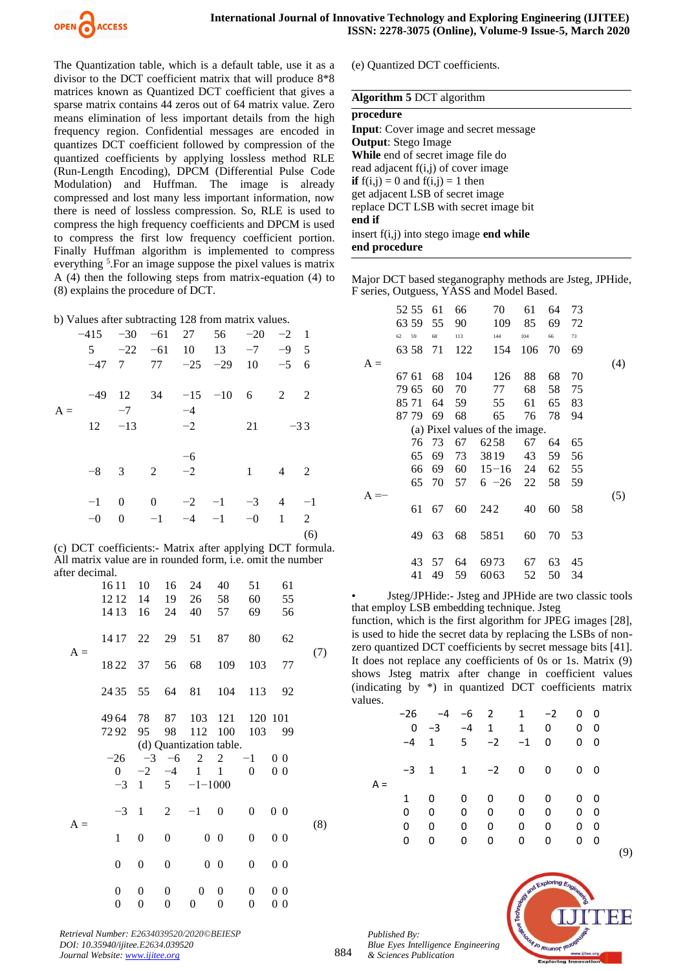

The Quantization table, which is a default table, use it as a divisor to the DCT coefficient matrix that will produce 8\*8 matrices known as Quantized DCT coefficient that gives a sparse matrix contains 44 zeros out of 64 matrix value. Zero means elimination of less important details from the high frequency region. Confidential messages are encoded in quantizes DCT coefficient followed by compression of the quantized coefficients by applying lossless method RLE (Run-Length Encoding), DPCM (Differential Pulse Code Modulation) and Huffman. The image is already compressed and lost many less important information, now there is need of lossless compression. So, RLE is used to compress the high frequency coefficients and DPCM is used to compress the first low frequency coefficient portion. Finally Huffman algorithm is implemented to compress everything <sup>5</sup>. For an image suppose the pixel values is matrix A (4) then the following steps from matrix-equation (4) to (8) explains the procedure of DCT.

b) Values after subtracting 128 from matrix values.

|       | $-415$ $-30$ $-61$ 27 56 $-20$ $-2$ 1 |      |               |      |                                                |          |                |         |
|-------|---------------------------------------|------|---------------|------|------------------------------------------------|----------|----------------|---------|
|       |                                       |      |               |      | $5 \t -22 \t -61 \t 10 \t 13 \t -7 \t -9 \t 5$ |          |                |         |
|       |                                       |      |               |      | $-47$ 7 77 $-25$ $-29$ 10 $-5$ 6               |          |                |         |
| $A =$ |                                       | $-7$ |               | $-4$ | $-49$ 12 34 $-15$ $-10$ 6 2                    |          |                | -2      |
|       |                                       |      | $12 -13 -2$   |      |                                                | 21       | $-33$          |         |
|       |                                       |      |               | $-6$ |                                                |          |                |         |
|       |                                       |      | $-8$ 3 2 $-2$ |      |                                                | $\sim$ 1 | $4\quad 2$     |         |
|       |                                       |      |               |      | $-1$ 0 0 $-2$ $-1$ $-3$                        |          | $\overline{4}$ | $^{-1}$ |
|       |                                       |      |               |      | $-0$ 0 $-1$ $-4$ $-1$ $-0$ 1 2                 |          |                |         |
|       |                                       |      |               |      |                                                |          |                | (6)     |

(c) DCT coefficients:- Matrix after applying DCT formula. All matrix value are in rounded form, i.e. omit the number after decimal.

|       | 16 11            | 10               | 16               | 24            | 40                      | 51               | 61             |     |
|-------|------------------|------------------|------------------|---------------|-------------------------|------------------|----------------|-----|
|       | 1212             | 14               | 19               | 26            | 58                      | 60               | 55             |     |
|       | 14 13            | 16               | 24               | 40            | 57                      | 69               | 56             |     |
| $A =$ | 14 17 22         |                  | 29               | 51            | 87                      | 80               | 62             |     |
|       | 1822 37          |                  | 56               | 68            | 109                     | 103              | 77             | (7) |
|       | 24 35 55         |                  | 64               | 81            | 104                     | 113              | 92             |     |
|       | 4964 78          |                  | 87               |               | 103 121                 |                  | 120 101        |     |
|       | 7292             | 95               | 98               |               | 112 100                 |                  | 103 99         |     |
|       |                  |                  |                  |               | (d) Quantization table. |                  |                |     |
|       | $-26$            |                  | $-3$ $-6$        | 2             | 2                       | $-1$             | 0 <sub>0</sub> |     |
|       | $\overline{0}$   | $-2$             | $-4$             | 1             | $\mathbf{1}$            | $\Omega$         | 0 <sub>0</sub> |     |
|       | $-3$             | 1                |                  | $5 -1 - 1000$ |                         |                  |                |     |
| $A =$ | $-3$             | $\overline{1}$   | 2                | $-1$          | $\theta$                | 0                | 0 <sub>0</sub> | (8) |
|       | $\mathbf{1}$     | $\overline{0}$   | $\boldsymbol{0}$ |               | $0\quad 0$              | $\boldsymbol{0}$ | 0 <sub>0</sub> |     |
|       | 0                | 0                | $\boldsymbol{0}$ |               | $0\quad 0$              | $\overline{0}$   | 0 <sub>0</sub> |     |
|       | $\boldsymbol{0}$ | $\boldsymbol{0}$ | $\boldsymbol{0}$ | 0             | $\boldsymbol{0}$        | 0                | 0 <sub>0</sub> |     |
|       | $\boldsymbol{0}$ | $\boldsymbol{0}$ | $\boldsymbol{0}$ | 0             | $\boldsymbol{0}$        | $\boldsymbol{0}$ | 0 <sub>0</sub> |     |

(e) Quantized DCT coefficients.

#### **Algorithm 5** DCT algorithm

# **procedure Input**: Cover image and secret message **Output**: Stego Image

**While** end of secret image file do read adjacent f(i,j) of cover image **if**  $f(i,j) = 0$  and  $f(i,j) = 1$  then get adjacent LSB of secret image replace DCT LSB with secret image bit **end if** insert f(i,j) into stego image **end while**

**end procedure**

Major DCT based steganography methods are Jsteg, JPHide, F series, Outguess, YASS and Model Based.

|       | 52 55    | 61    | 66  | 70                             | 61  | 64 | 73 |     |
|-------|----------|-------|-----|--------------------------------|-----|----|----|-----|
|       | 63 59    | 55    | 90  | 109                            | 85  | 69 | 72 |     |
|       | 59<br>62 | 68    | 113 | 144                            | 104 | 66 | 73 |     |
|       | 63 58    | 71    | 122 | 154                            | 106 | 70 | 69 |     |
| $A =$ |          |       |     |                                |     |    |    | (4) |
|       | 67 61    | 68    | 104 | 126                            | 88  | 68 | 70 |     |
|       |          |       |     |                                |     |    |    |     |
|       | 79 65    | 60    | 70  | 77                             | 68  | 58 | 75 |     |
|       | 85 71    | 64    | 59  | 55                             | 61  | 65 | 83 |     |
|       | 87 79    | 69    | 68  | 65                             | 76  | 78 | 94 |     |
|       |          |       |     | (a) Pixel values of the image. |     |    |    |     |
|       |          |       |     |                                |     |    |    |     |
|       |          | 76 73 | 67  | 6258                           | 67  | 64 | 65 |     |
|       | 65       | 69    | 73  | 3819                           | 43  | 59 | 56 |     |
|       | 66       | 69    | 60  | $15 - 16$                      | 24  | 62 | 55 |     |
|       | 65       | 70    | 57  | $6 -26$                        | 22  | 58 | 59 |     |
|       |          |       |     |                                |     |    |    | (5) |
|       | 61       | 67    | 60  | 242                            | 40  | 60 | 58 |     |
|       |          |       |     |                                |     |    |    |     |
|       | 49       | 63    | 68  | 5851                           | 60  | 70 | 53 |     |
|       |          |       |     |                                |     |    |    |     |
|       | 43       | 57    | 64  | 6973                           | 67  | 63 | 45 |     |
|       |          |       |     |                                |     |    |    |     |
|       | 41       | 49    | 59  | 6063                           | 52  | 50 | 34 |     |

• Jsteg/JPHide:- Jsteg and JPHide are two classic tools that employ LSB embedding technique. Jsteg

function, which is the first algorithm for JPEG images [28], is used to hide the secret data by replacing the LSBs of nonzero quantized DCT coefficients by secret message bits [41]. It does not replace any coefficients of 0s or 1s. Matrix (9) shows Jsteg matrix after change in coefficient values (indicating by \*) in quantized DCT coefficients matrix values.

|       |        | -26 -4 -6 2 1 -2 |              |              |              |                | 00         |   |
|-------|--------|------------------|--------------|--------------|--------------|----------------|------------|---|
|       |        | $0 -3$           | $-4$ 1       |              | 1            | 0              | $0\quad 0$ |   |
|       |        | $-4$ 1           |              | $5 -2 -1$    |              | $\mathbf 0$    | $0\quad 0$ |   |
| $A =$ | $-3$ 1 |                  |              | $1 -2 0$     |              | $\overline{0}$ | $0\quad 0$ |   |
|       | 1      | 0                | $\mathbf{0}$ | 0            | $\mathbf{0}$ | 0              | $0\quad 0$ |   |
|       | 0      | 0                | 0            | $\mathbf{0}$ | $\mathbf{0}$ | 0              | $0\quad 0$ |   |
|       | 0      | 0                | 0            | 0            | 0            | 0              | 00         |   |
|       | 0      | 0                | 0            | 0            | 0            | 0              | $0\quad 0$ |   |
|       |        |                  |              |              |              |                |            | ٠ |

*Published By: Blue Eyes Intelligence Engineering* 



*& Sciences Publication* 

*Retrieval Number: E2634039520/2020©BEIESP DOI: 10.35940/ijitee.E2634.039520 Journal Website[: www.ijitee.org](http://www.ijitee.org/)*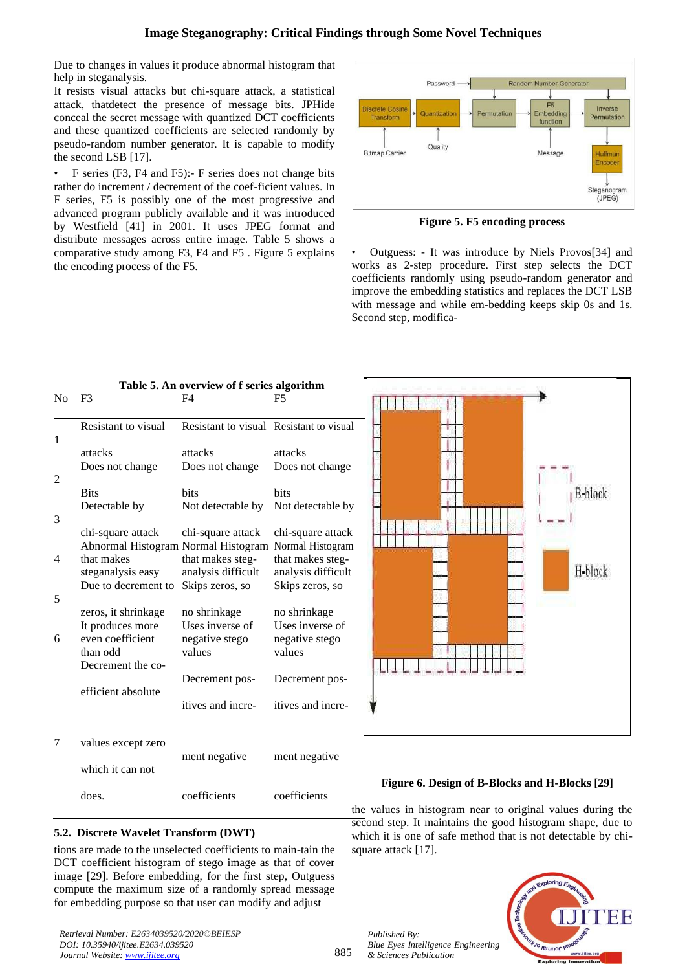Due to changes in values it produce abnormal histogram that help in steganalysis.

It resists visual attacks but chi-square attack, a statistical attack, thatdetect the presence of message bits. JPHide conceal the secret message with quantized DCT coefficients and these quantized coefficients are selected randomly by pseudo-random number generator. It is capable to modify the second LSB [17].

• F series (F3, F4 and F5):- F series does not change bits rather do increment / decrement of the coef-ficient values. In F series, F5 is possibly one of the most progressive and advanced program publicly available and it was introduced by Westfield [41] in 2001. It uses JPEG format and distribute messages across entire image. Table 5 shows a comparative study among F3, F4 and F5 . Figure 5 explains the encoding process of the F5.



**Figure 5. F5 encoding process**

• Outguess: - It was introduce by Niels Provos[34] and works as 2-step procedure. First step selects the DCT coefficients randomly using pseudo-random generator and improve the embedding statistics and replaces the DCT LSB with message and while em-bedding keeps skip 0s and 1s. Second step, modifica-

|                | Table 5. An overview of f series algorithm |                                         |                    |  |  |  |  |  |
|----------------|--------------------------------------------|-----------------------------------------|--------------------|--|--|--|--|--|
| N <sub>0</sub> | F <sub>3</sub>                             | F4                                      | F5                 |  |  |  |  |  |
|                | Resistant to visual                        | Resistant to visual Resistant to visual |                    |  |  |  |  |  |
| 1              |                                            |                                         |                    |  |  |  |  |  |
|                | attacks                                    | attacks                                 | attacks            |  |  |  |  |  |
|                | Does not change                            | Does not change                         | Does not change    |  |  |  |  |  |
| 2              | <b>Bits</b>                                | <b>bits</b>                             | <b>bits</b>        |  |  |  |  |  |
|                | Detectable by                              | Not detectable by                       | Not detectable by  |  |  |  |  |  |
| 3              |                                            |                                         |                    |  |  |  |  |  |
|                | chi-square attack                          | chi-square attack                       | chi-square attack  |  |  |  |  |  |
|                | Abnormal Histogram Normal Histogram        |                                         | Normal Histogram   |  |  |  |  |  |
| 4              | that makes                                 | that makes steg-                        | that makes steg-   |  |  |  |  |  |
|                | steganalysis easy                          | analysis difficult                      | analysis difficult |  |  |  |  |  |
| 5              | Due to decrement to                        | Skips zeros, so                         | Skips zeros, so    |  |  |  |  |  |
|                | zeros, it shrinkage                        | no shrinkage                            | no shrinkage       |  |  |  |  |  |
|                | It produces more                           | Uses inverse of                         | Uses inverse of    |  |  |  |  |  |
| 6              | even coefficient                           | negative stego                          | negative stego     |  |  |  |  |  |
|                | than odd                                   | values                                  | values             |  |  |  |  |  |
|                | Decrement the co-                          |                                         |                    |  |  |  |  |  |
|                | efficient absolute                         | Decrement pos-                          | Decrement pos-     |  |  |  |  |  |
|                |                                            | itives and incre-                       | itives and incre-  |  |  |  |  |  |
|                |                                            |                                         |                    |  |  |  |  |  |
|                |                                            |                                         |                    |  |  |  |  |  |
| 7              | values except zero                         | ment negative                           | ment negative      |  |  |  |  |  |
|                | which it can not                           |                                         |                    |  |  |  |  |  |
|                |                                            |                                         |                    |  |  |  |  |  |
|                | does.                                      | coefficients                            | coefficients       |  |  |  |  |  |



# **Figure 6. Design of B-Blocks and H-Blocks [29]**

the values in histogram near to original values during the second step. It maintains the good histogram shape, due to which it is one of safe method that is not detectable by chisquare attack [17].

# **5.2. Discrete Wavelet Transform (DWT)**

tions are made to the unselected coefficients to main-tain the DCT coefficient histogram of stego image as that of cover image [29]. Before embedding, for the first step, Outguess compute the maximum size of a randomly spread message for embedding purpose so that user can modify and adjust

*Retrieval Number: E2634039520/2020©BEIESP DOI: 10.35940/ijitee.E2634.039520 Journal Website[: www.ijitee.org](http://www.ijitee.org/)*

*Published By: Blue Eyes Intelligence Engineering & Sciences Publication* 

885

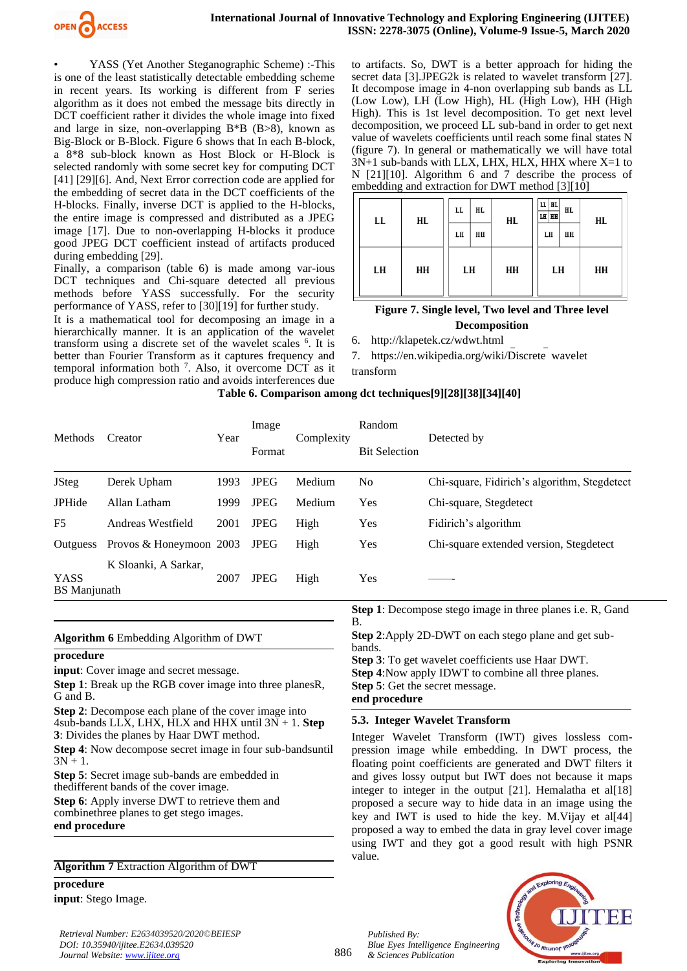

YASS (Yet Another Steganographic Scheme) :-This is one of the least statistically detectable embedding scheme in recent years. Its working is different from F series algorithm as it does not embed the message bits directly in DCT coefficient rather it divides the whole image into fixed and large in size, non-overlapping  $B*B$  ( $B>8$ ), known as Big-Block or B-Block. Figure 6 shows that In each B-block, a 8\*8 sub-block known as Host Block or H-Block is selected randomly with some secret key for computing DCT [41] [29] [6]. And, Next Error correction code are applied for the embedding of secret data in the DCT coefficients of the H-blocks. Finally, inverse DCT is applied to the H-blocks, the entire image is compressed and distributed as a JPEG image [17]. Due to non-overlapping H-blocks it produce good JPEG DCT coefficient instead of artifacts produced during embedding [29].

Finally, a comparison (table 6) is made among var-ious DCT techniques and Chi-square detected all previous methods before YASS successfully. For the security performance of YASS, refer to [30][19] for further study.

It is a mathematical tool for decomposing an image in a hierarchically manner. It is an application of the wavelet transform using a discrete set of the wavelet scales <sup>6</sup>. It is better than Fourier Transform as it captures frequency and temporal information both <sup>7</sup> . Also, it overcome DCT as it produce high compression ratio and avoids interferences due

to artifacts. So, DWT is a better approach for hiding the secret data [3].JPEG2k is related to wavelet transform [27]. It decompose image in 4-non overlapping sub bands as LL (Low Low), LH (Low High), HL (High Low), HH (High High). This is 1st level decomposition. To get next level decomposition, we proceed LL sub-band in order to get next value of wavelets coefficients until reach some final states N (figure 7). In general or mathematically we will have total 3N+1 sub-bands with LLX, LHX, HLX, HHX where X=1 to N [21][10]. Algorithm 6 and 7 describe the process of embedding and extraction for DWT method [3][10]

| LL | HL | LL<br>LH | HL.<br>HH | HL | $LL$ $ HL$<br>LH HH<br>LH | HL.<br>HH | HL |
|----|----|----------|-----------|----|---------------------------|-----------|----|
| LH | HH | LH       |           | HH | LH                        |           | HH |

# **Figure 7. Single level, Two level and Three level Decomposition**

6. http://klapetek.cz/wdwt.html

7. https://en.wikipedia.org/wiki/Discrete wavelet transform

|  |  |  | Table 6. Comparison among dct techniques[9][28][38][34][40] |  |  |  |
|--|--|--|-------------------------------------------------------------|--|--|--|
|--|--|--|-------------------------------------------------------------|--|--|--|

| <b>Methods</b>                     | Creator                 | Year | Image<br>Format | Complexity | Random<br><b>Bit Selection</b> | Detected by                                  |
|------------------------------------|-------------------------|------|-----------------|------------|--------------------------------|----------------------------------------------|
| <b>JSteg</b>                       | Derek Upham             | 1993 | <b>JPEG</b>     | Medium     | N <sub>0</sub>                 | Chi-square, Fidirich's algorithm, Stegdetect |
| <b>JPHide</b>                      | Allan Latham            | 1999 | <b>JPEG</b>     | Medium     | Yes                            | Chi-square, Stegdetect                       |
| F5                                 | Andreas Westfield       | 2001 | <b>JPEG</b>     | High       | <b>Yes</b>                     | Fidirich's algorithm                         |
| <b>Outguess</b>                    | Provos & Honeymoon 2003 |      | <b>JPEG</b>     | High       | <b>Yes</b>                     | Chi-square extended version, Stegdetect      |
| <b>YASS</b><br><b>BS</b> Manjunath | K Sloanki, A Sarkar,    | 2007 | <b>JPEG</b>     | High       | Yes                            |                                              |

### **Algorithm 6** Embedding Algorithm of DWT

#### **procedure**

**input**: Cover image and secret message.

**Step 1**: Break up the RGB cover image into three planesR, G and B.

**Step 2**: Decompose each plane of the cover image into 4sub-bands LLX, LHX, HLX and HHX until 3N + 1. **Step 3**: Divides the planes by Haar DWT method.

**Step 4**: Now decompose secret image in four sub-bandsuntil  $3N + 1$ .

**Step 5**: Secret image sub-bands are embedded in thedifferent bands of the cover image.

**Step 6**: Apply inverse DWT to retrieve them and combinethree planes to get stego images. **end procedure**

**Algorithm 7** Extraction Algorithm of DWT

#### **procedure**

**input**: Stego Image.

*Retrieval Number: E2634039520/2020©BEIESP DOI: 10.35940/ijitee.E2634.039520 Journal Website[: www.ijitee.org](http://www.ijitee.org/)*

**Step 1**: Decompose stego image in three planes i.e. R, Gand B.

**Step 2**:Apply 2D-DWT on each stego plane and get subbands.

**Step 3**: To get wavelet coefficients use Haar DWT.

**Step 4**:Now apply IDWT to combine all three planes. **Step 5**: Get the secret message.

**end procedure**

### **5.3. Integer Wavelet Transform**

Integer Wavelet Transform (IWT) gives lossless compression image while embedding. In DWT process, the floating point coefficients are generated and DWT filters it and gives lossy output but IWT does not because it maps integer to integer in the output [21]. Hemalatha et al[18] proposed a secure way to hide data in an image using the key and IWT is used to hide the key. M.Vijay et al[44] proposed a way to embed the data in gray level cover image using IWT and they got a good result with high PSNR value.

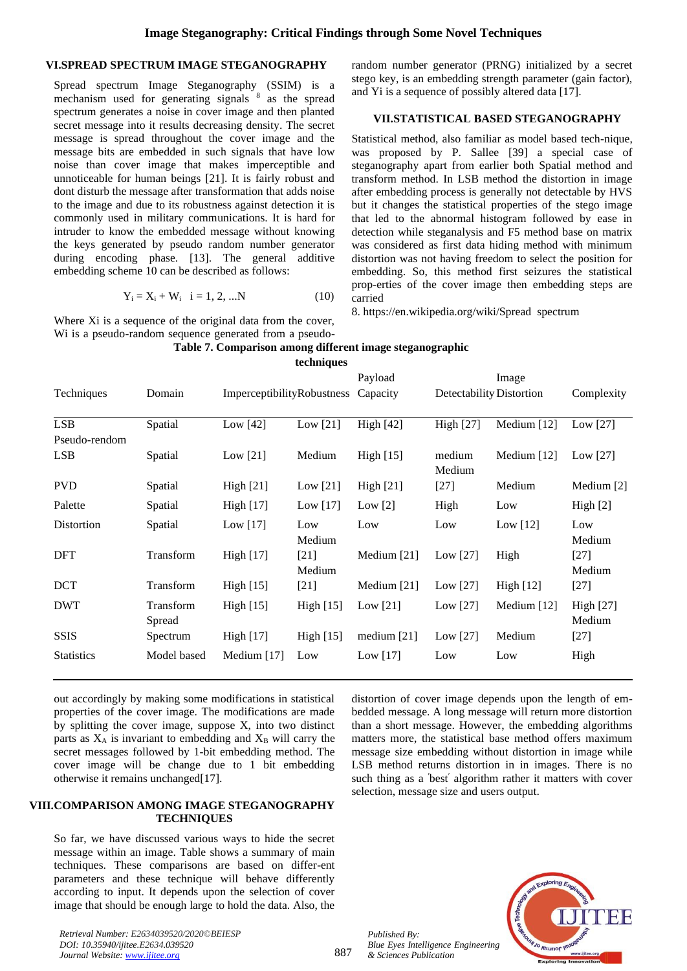### **VI.SPREAD SPECTRUM IMAGE STEGANOGRAPHY**

Spread spectrum Image Steganography (SSIM) is a mechanism used for generating signals  $8$  as the spread spectrum generates a noise in cover image and then planted secret message into it results decreasing density. The secret message is spread throughout the cover image and the message bits are embedded in such signals that have low noise than cover image that makes imperceptible and unnoticeable for human beings [21]. It is fairly robust and dont disturb the message after transformation that adds noise to the image and due to its robustness against detection it is commonly used in military communications. It is hard for intruder to know the embedded message without knowing the keys generated by pseudo random number generator during encoding phase. [13]. The general additive embedding scheme 10 can be described as follows:

$$
Y_i = X_i + W_i \quad i = 1, 2, ...N \tag{10}
$$

Where Xi is a sequence of the original data from the cover, Wi is a pseudo-random sequence generated from a pseudorandom number generator (PRNG) initialized by a secret stego key, is an embedding strength parameter (gain factor), and Yi is a sequence of possibly altered data [17].

### **VII.STATISTICAL BASED STEGANOGRAPHY**

Statistical method, also familiar as model based tech-nique, was proposed by P. Sallee [39] a special case of steganography apart from earlier both Spatial method and transform method. In LSB method the distortion in image after embedding process is generally not detectable by HVS but it changes the statistical properties of the stego image that led to the abnormal histogram followed by ease in detection while steganalysis and F5 method base on matrix was considered as first data hiding method with minimum distortion was not having freedom to select the position for embedding. So, this method first seizures the statistical prop-erties of the cover image then embedding steps are carried

8. https://en.wikipedia.org/wiki/Spread spectrum

|  |  |  | Table 7. Comparison among different image steganographic |
|--|--|--|----------------------------------------------------------|
|--|--|--|----------------------------------------------------------|

|                   |                     |                            | techniques       |                  |                  |                          |                            |
|-------------------|---------------------|----------------------------|------------------|------------------|------------------|--------------------------|----------------------------|
|                   |                     |                            |                  | Payload          |                  | Image                    |                            |
| Techniques        | Domain              | ImperceptibilityRobustness |                  | Capacity         |                  | Detectability Distortion | Complexity                 |
| <b>LSB</b>        | Spatial             | Low $[42]$                 | Low $[21]$       | <b>High</b> [42] | <b>High</b> [27] | Medium [12]              | Low $[27]$                 |
| Pseudo-rendom     |                     |                            |                  |                  |                  |                          |                            |
| <b>LSB</b>        | Spatial             | Low $[21]$                 | Medium           | High $[15]$      | medium<br>Medium | Medium $[12]$            | Low $[27]$                 |
| <b>PVD</b>        | Spatial             | High $[21]$                | Low $[21]$       | <b>High</b> [21] | $[27]$           | Medium                   | Medium [2]                 |
| Palette           | Spatial             | High [17]                  | Low $[17]$       | Low $[2]$        | High             | Low                      | High [2]                   |
| Distortion        | Spatial             | Low $[17]$                 | Low<br>Medium    | Low              | Low              | Low $[12]$               | Low<br>Medium              |
| <b>DFT</b>        | Transform           | High $[17]$                | $[21]$<br>Medium | Medium [21]      | Low $[27]$       | High                     | $[27]$<br>Medium           |
| <b>DCT</b>        | Transform           | High $[15]$                | $[21]$           | Medium $[21]$    | Low $[27]$       | High [12]                | $[27]$                     |
| <b>DWT</b>        | Transform<br>Spread | <b>High</b> [15]           | High [15]        | Low $[21]$       | Low $[27]$       | Medium [12]              | <b>High</b> [27]<br>Medium |
| <b>SSIS</b>       | Spectrum            | <b>High</b> [17]           | High [15]        | medium $[21]$    | Low $[27]$       | Medium                   | $[27]$                     |
| <b>Statistics</b> | Model based         | Medium [17]                | Low              | Low $[17]$       | Low              | Low                      | High                       |

out accordingly by making some modifications in statistical properties of the cover image. The modifications are made by splitting the cover image, suppose X, into two distinct parts as  $X_A$  is invariant to embedding and  $X_B$  will carry the secret messages followed by 1-bit embedding method. The cover image will be change due to 1 bit embedding otherwise it remains unchanged[17].

#### **VIII.COMPARISON AMONG IMAGE STEGANOGRAPHY TECHNIQUES**

So far, we have discussed various ways to hide the secret message within an image. Table shows a summary of main techniques. These comparisons are based on differ-ent parameters and these technique will behave differently according to input. It depends upon the selection of cover image that should be enough large to hold the data. Also, the

*Retrieval Number: E2634039520/2020©BEIESP DOI: 10.35940/ijitee.E2634.039520 Journal Website[: www.ijitee.org](http://www.ijitee.org/)*

distortion of cover image depends upon the length of embedded message. A long message will return more distortion than a short message. However, the embedding algorithms matters more, the statistical base method offers maximum message size embedding without distortion in image while LSB method returns distortion in in images. There is no such thing as a ′best′ algorithm rather it matters with cover selection, message size and users output.



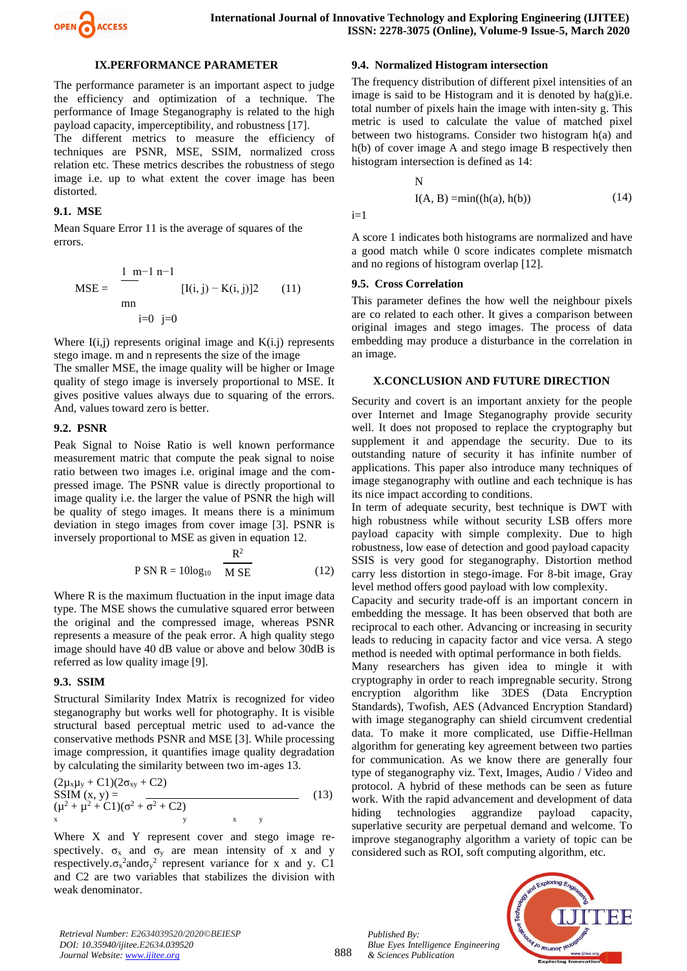

#### **IX.PERFORMANCE PARAMETER**

The performance parameter is an important aspect to judge the efficiency and optimization of a technique. The performance of Image Steganography is related to the high payload capacity, imperceptibility, and robustness [17].

The different metrics to measure the efficiency of techniques are PSNR, MSE, SSIM, normalized cross relation etc. These metrics describes the robustness of stego image i.e. up to what extent the cover image has been distorted.

#### **9.1. MSE**

Mean Square Error 11 is the average of squares of the errors.

MSE = 
$$
\frac{1 \text{ m} - 1 \text{ n} - 1}{\text{m}} [I(i, j) - K(i, j)]2
$$
 (11)  
min  
i=0 j=0

Where  $I(i,j)$  represents original image and  $K(i,j)$  represents stego image. m and n represents the size of the image

The smaller MSE, the image quality will be higher or Image quality of stego image is inversely proportional to MSE. It gives positive values always due to squaring of the errors. And, values toward zero is better.

### **9.2. PSNR**

Peak Signal to Noise Ratio is well known performance measurement matric that compute the peak signal to noise ratio between two images i.e. original image and the compressed image. The PSNR value is directly proportional to image quality i.e. the larger the value of PSNR the high will be quality of stego images. It means there is a minimum deviation in stego images from cover image [3]. PSNR is inversely proportional to MSE as given in equation 12.

$$
P SN R = 10\log_{10} \frac{R^2}{M SE}
$$
 (12)

Where R is the maximum fluctuation in the input image data type. The MSE shows the cumulative squared error between the original and the compressed image, whereas PSNR represents a measure of the peak error. A high quality stego image should have 40 dB value or above and below 30dB is referred as low quality image [9].

#### **9.3. SSIM**

Structural Similarity Index Matrix is recognized for video steganography but works well for photography. It is visible structural based perceptual metric used to ad-vance the conservative methods PSNR and MSE [3]. While processing image compression, it quantifies image quality degradation by calculating the similarity between two im-ages 13.

$$
(2\mu_{x}\mu_{y} + C1)(2\sigma_{xy} + C2)
$$
  
\nSSIM (x, y) =  
\n
$$
(\mu^{2} + \mu^{2} + C1)(\sigma^{2} + \sigma^{2} + C2)
$$
\n
$$
x \qquad y
$$
\n(13)

Where X and Y represent cover and stego image respectively.  $\sigma_x$  and  $\sigma_y$  are mean intensity of x and y respectively. $\sigma_x^2$  and  $\sigma_y^2$  represent variance for x and y. C1 and C2 are two variables that stabilizes the division with weak denominator.

# **9.4. Normalized Histogram intersection**

The frequency distribution of different pixel intensities of an image is said to be Histogram and it is denoted by  $ha(g)$ *i.e.* total number of pixels hain the image with inten-sity g. This metric is used to calculate the value of matched pixel between two histograms. Consider two histogram h(a) and h(b) of cover image A and stego image B respectively then histogram intersection is defined as 14:

$$
\mathbf{N}^-
$$

$$
I(A, B) = min((h(a), h(b))
$$
 (14)

 $i=1$ 

A score 1 indicates both histograms are normalized and have a good match while 0 score indicates complete mismatch and no regions of histogram overlap [12].

#### **9.5. Cross Correlation**

This parameter defines the how well the neighbour pixels are co related to each other. It gives a comparison between original images and stego images. The process of data embedding may produce a disturbance in the correlation in an image.

#### **X.CONCLUSION AND FUTURE DIRECTION**

Security and covert is an important anxiety for the people over Internet and Image Steganography provide security well. It does not proposed to replace the cryptography but supplement it and appendage the security. Due to its outstanding nature of security it has infinite number of applications. This paper also introduce many techniques of image steganography with outline and each technique is has its nice impact according to conditions.

In term of adequate security, best technique is DWT with high robustness while without security LSB offers more payload capacity with simple complexity. Due to high robustness, low ease of detection and good payload capacity SSIS is very good for steganography. Distortion method carry less distortion in stego-image. For 8-bit image, Gray level method offers good payload with low complexity.

Capacity and security trade-off is an important concern in embedding the message. It has been observed that both are reciprocal to each other. Advancing or increasing in security leads to reducing in capacity factor and vice versa. A stego method is needed with optimal performance in both fields.

Many researchers has given idea to mingle it with cryptography in order to reach impregnable security. Strong encryption algorithm like 3DES (Data Encryption Standards), Twofish, AES (Advanced Encryption Standard) with image steganography can shield circumvent credential data. To make it more complicated, use Diffie-Hellman algorithm for generating key agreement between two parties for communication. As we know there are generally four type of steganography viz. Text, Images, Audio / Video and protocol. A hybrid of these methods can be seen as future work. With the rapid advancement and development of data hiding technologies aggrandize payload capacity, superlative security are perpetual demand and welcome. To improve steganography algorithm a variety of topic can be considered such as ROI, soft computing algorithm, etc.

*Retrieval Number: E2634039520/2020©BEIESP DOI: 10.35940/ijitee.E2634.039520 Journal Website[: www.ijitee.org](http://www.ijitee.org/)*

888

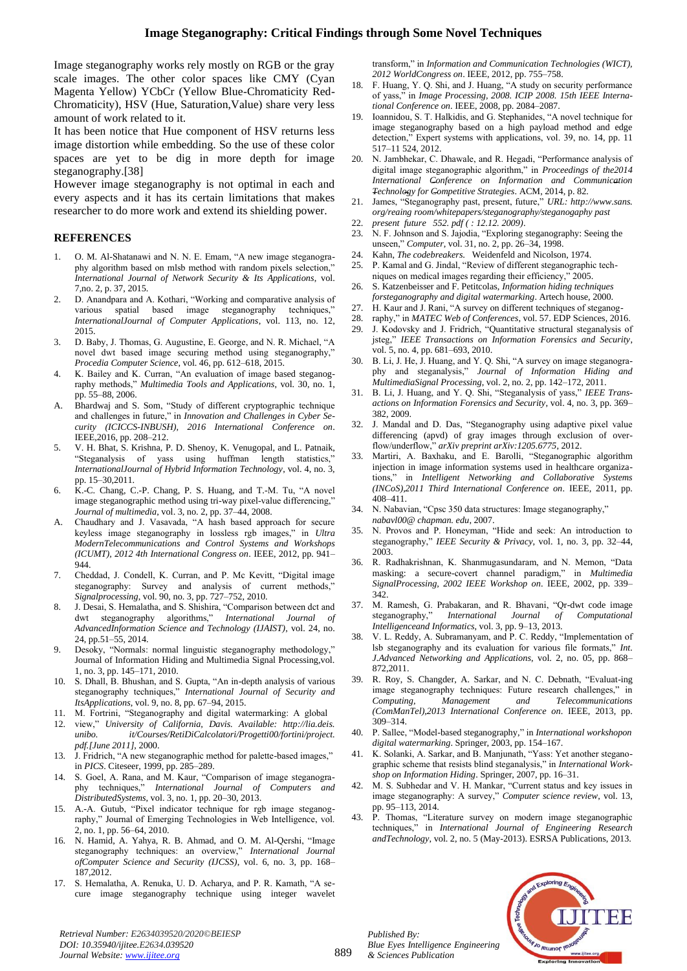Image steganography works rely mostly on RGB or the gray scale images. The other color spaces like CMY (Cyan Magenta Yellow) YCbCr (Yellow Blue-Chromaticity Red-Chromaticity), HSV (Hue, Saturation,Value) share very less amount of work related to it.

It has been notice that Hue component of HSV returns less image distortion while embedding. So the use of these color spaces are yet to be dig in more depth for image steganography.[38]

However image steganography is not optimal in each and every aspects and it has its certain limitations that makes researcher to do more work and extend its shielding power.

### **REFERENCES**

- 1. O. M. Al-Shatanawi and N. N. E. Emam, "A new image steganography algorithm based on mlsb method with random pixels selection," *International Journal of Network Security & Its Applications*, vol. 7,no. 2, p. 37, 2015.
- 2. D. Anandpara and A. Kothari, "Working and comparative analysis of various spatial based image steganography techniques, *InternationalJournal of Computer Applications*, vol. 113, no. 12, 2015.
- 3. D. Baby, J. Thomas, G. Augustine, E. George, and N. R. Michael, "A novel dwt based image securing method using steganography," *Procedia Computer Science*, vol. 46, pp. 612–618, 2015.
- K. Bailey and K. Curran, "An evaluation of image based steganography methods," *Multimedia Tools and Applications*, vol. 30, no. 1, pp. 55–88, 2006.
- A. Bhardwaj and S. Som, "Study of different cryptographic technique and challenges in future," in *Innovation and Challenges in Cyber Security (ICICCS-INBUSH), 2016 International Conference on*. IEEE,2016, pp. 208–212.
- 5. V. H. Bhat, S. Krishna, P. D. Shenoy, K. Venugopal, and L. Patnaik, "Steganalysis of yass using huffman length statistics," *InternationalJournal of Hybrid Information Technology*, vol. 4, no. 3, pp. 15–30,2011.
- 6. K.-C. Chang, C.-P. Chang, P. S. Huang, and T.-M. Tu, "A novel image steganographic method using tri-way pixel-value differencing," *Journal of multimedia*, vol. 3, no. 2, pp. 37–44, 2008.
- Chaudhary and J. Vasavada, "A hash based approach for secure keyless image steganography in lossless rgb images," in *Ultra ModernTelecommunications and Control Systems and Workshops (ICUMT), 2012 4th International Congress on*. IEEE, 2012, pp. 941– 944.
- 7. Cheddad, J. Condell, K. Curran, and P. Mc Kevitt, "Digital image steganography: Survey and analysis of current methods," *Signalprocessing*, vol. 90, no. 3, pp. 727–752, 2010.
- 8. J. Desai, S. Hemalatha, and S. Shishira, "Comparison between dct and dwt steganography algorithms," *International Journal of AdvancedInformation Science and Technology (IJAIST)*, vol. 24, no. 24, pp.51–55, 2014.
- 9. Desoky, "Normals: normal linguistic steganography methodology," Journal of Information Hiding and Multimedia Signal Processing,vol. 1, no. 3, pp. 145–171, 2010.
- 10. S. Dhall, B. Bhushan, and S. Gupta, "An in-depth analysis of various steganography techniques," *International Journal of Security and ItsApplications*, vol. 9, no. 8, pp. 67–94, 2015.
- 11. M. Fortrini, "Steganography and digital watermarking: A global
- 12. view," *University of California, Davis. Available: http://lia.deis. unibo. it/Courses/RetiDiCalcolatori/Progetti00/fortini/project. pdf.[June 2011]*, 2000.
- 13. J. Fridrich, "A new steganographic method for palette-based images," in *PICS*. Citeseer, 1999, pp. 285–289.
- 14. S. Goel, A. Rana, and M. Kaur, "Comparison of image steganography techniques," *International Journal of Computers and DistributedSystems*, vol. 3, no. 1, pp. 20–30, 2013.
- 15. A.-A. Gutub, "Pixel indicator technique for rgb image steganography," Journal of Emerging Technologies in Web Intelligence, vol. 2, no. 1, pp. 56–64, 2010.
- 16. N. Hamid, A. Yahya, R. B. Ahmad, and O. M. Al-Qershi, "Image steganography techniques: an overview," *International Journal ofComputer Science and Security (IJCSS)*, vol. 6, no. 3, pp. 168– 187,2012.
- 17. S. Hemalatha, A. Renuka, U. D. Acharya, and P. R. Kamath, "A secure image steganography technique using integer wavelet

transform," in *Information and Communication Technologies (WICT), 2012 WorldCongress on*. IEEE, 2012, pp. 755–758.

- 18. F. Huang, Y. Q. Shi, and J. Huang, "A study on security performance of yass," in *Image Processing, 2008. ICIP 2008. 15th IEEE International Conference on*. IEEE, 2008, pp. 2084–2087.
- 19. Ioannidou, S. T. Halkidis, and G. Stephanides, "A novel technique for image steganography based on a high payload method and edge detection," Expert systems with applications, vol. 39, no. 14, pp. 11 517–11 524, 2012.
- 20. N. Jambhekar, C. Dhawale, and R. Hegadi, "Performance analysis of digital image steganographic algorithm," in *Proceedings of the2014 International Conference on Information and Communication Technology for Competitive Strategies*. ACM, 2014, p. 82.
- 21. James, "Steganography past, present, future," *URL: http://www.sans. org/reaing room/whitepapers/steganography/steganogaphy past*
- 22. *present future 552. pdf ( : 12.12. 2009)*.
- 23. N. F. Johnson and S. Jajodia, "Exploring steganography: Seeing the unseen," *Computer*, vol. 31, no. 2, pp. 26–34, 1998.
- 24. Kahn, *The codebreakers*. Weidenfeld and Nicolson, 1974.
- 25. P. Kamal and G. Jindal, "Review of different steganographic techniques on medical images regarding their efficiency," 2005.
- 26. S. Katzenbeisser and F. Petitcolas, *Information hiding techniques forsteganography and digital watermarking*. Artech house, 2000.
- 27. H. Kaur and J. Rani, "A survey on different techniques of steganog-
- 28. raphy," in *MATEC Web of Conferences*, vol. 57. EDP Sciences, 2016.
- 29. J. Kodovsky and J. Fridrich, "Quantitative structural steganalysis of jsteg," *IEEE Transactions on Information Forensics and Security*, vol. 5, no. 4, pp. 681–693, 2010.
- 30. B. Li, J. He, J. Huang, and Y. Q. Shi, "A survey on image steganography and steganalysis," *Journal of Information Hiding and MultimediaSignal Processing*, vol. 2, no. 2, pp. 142–172, 2011.
- 31. B. Li, J. Huang, and Y. Q. Shi, "Steganalysis of yass," *IEEE Transactions on Information Forensics and Security*, vol. 4, no. 3, pp. 369– 382, 2009.
- 32. J. Mandal and D. Das, "Steganography using adaptive pixel value differencing (apvd) of gray images through exclusion of overflow/underflow," *arXiv preprint arXiv:1205.6775*, 2012.
- 33. Martiri, A. Baxhaku, and E. Barolli, "Steganographic algorithm injection in image information systems used in healthcare organizations," in *Intelligent Networking and Collaborative Systems (INCoS),2011 Third International Conference on*. IEEE, 2011, pp. 408–411.
- 34. N. Nabavian, "Cpsc 350 data structures: Image steganography," *nabavl00@ chapman. edu*, 2007.
- 35. N. Provos and P. Honeyman, "Hide and seek: An introduction to steganography," *IEEE Security & Privacy*, vol. 1, no. 3, pp. 32–44, 2003.
- 36. R. Radhakrishnan, K. Shanmugasundaram, and N. Memon, "Data masking: a secure-covert channel paradigm," in *Multimedia SignalProcessing, 2002 IEEE Workshop on*. IEEE, 2002, pp. 339– 342.
- 37. M. Ramesh, G. Prabakaran, and R. Bhavani, "Qr-dwt code image steganography," *International Journal of Computational Intelligenceand Informatics*, vol. 3, pp. 9–13, 2013.
- 38. V. L. Reddy, A. Subramanyam, and P. C. Reddy, "Implementation of lsb steganography and its evaluation for various file formats," *Int. J.Advanced Networking and Applications*, vol. 2, no. 05, pp. 868– 872,2011.
- 39. R. Roy, S. Changder, A. Sarkar, and N. C. Debnath, "Evaluat-ing image steganography techniques: Future research challenges," in *Computing, Management and Telecommunications (ComManTel),2013 International Conference on*. IEEE, 2013, pp. 309–314.
- 40. P. Sallee, "Model-based steganography," in *International workshopon digital watermarking*. Springer, 2003, pp. 154–167.
- K. Solanki, A. Sarkar, and B. Manjunath, "Yass: Yet another steganographic scheme that resists blind steganalysis," in *International Workshop on Information Hiding*. Springer, 2007, pp. 16–31.
- 42. M. S. Subhedar and V. H. Mankar, "Current status and key issues in image steganography: A survey," *Computer science review*, vol. 13, pp. 95–113, 2014.
- 43. P. Thomas, "Literature survey on modern image steganographic techniques," in *International Journal of Engineering Research andTechnology*, vol. 2, no. 5 (May-2013). ESRSA Publications, 2013.

*Published By: Blue Eyes Intelligence Engineering & Sciences Publication* 



*Retrieval Number: E2634039520/2020©BEIESP DOI: 10.35940/ijitee.E2634.039520 Journal Website[: www.ijitee.org](http://www.ijitee.org/)*